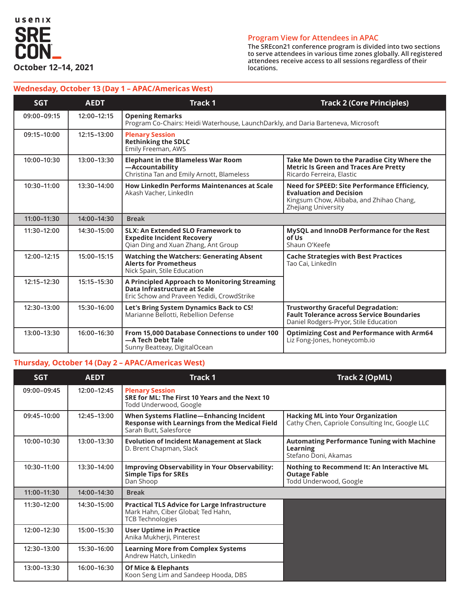

## **Program View for Attendees in APAC**

**The SREcon21 conference program is divided into two sections to serve attendees in various time zones globally. All registered attendees receive access to all sessions regardless of their locations.**

## **Wednesday, October 13 (Day 1 – APAC/Americas West)**

| <b>SGT</b>  | <b>AEDT</b> | Track 1                                                                                                                     | <b>Track 2 (Core Principles)</b>                                                                                                                  |
|-------------|-------------|-----------------------------------------------------------------------------------------------------------------------------|---------------------------------------------------------------------------------------------------------------------------------------------------|
| 09:00-09:15 | 12:00-12:15 | <b>Opening Remarks</b><br>Program Co-Chairs: Heidi Waterhouse, LaunchDarkly, and Daria Barteneva, Microsoft                 |                                                                                                                                                   |
| 09:15-10:00 | 12:15-13:00 | <b>Plenary Session</b><br><b>Rethinking the SDLC</b><br>Emily Freeman, AWS                                                  |                                                                                                                                                   |
| 10:00-10:30 | 13:00-13:30 | <b>Elephant in the Blameless War Room</b><br>-Accountability<br>Christina Tan and Emily Arnott, Blameless                   | Take Me Down to the Paradise City Where the<br><b>Metric Is Green and Traces Are Pretty</b><br>Ricardo Ferreira, Elastic                          |
| 10:30-11:00 | 13:30-14:00 | <b>How LinkedIn Performs Maintenances at Scale</b><br>Akash Vacher, LinkedIn                                                | Need for SPEED: Site Performance Efficiency,<br><b>Evaluation and Decision</b><br>Kingsum Chow, Alibaba, and Zhihao Chang,<br>Zhejiang University |
| 11:00-11:30 | 14:00-14:30 | <b>Break</b>                                                                                                                |                                                                                                                                                   |
| 11:30-12:00 | 14:30-15:00 | <b>SLX: An Extended SLO Framework to</b><br><b>Expedite Incident Recovery</b><br>Qian Ding and Xuan Zhang, Ant Group        | MySQL and InnoDB Performance for the Rest<br>of Us<br>Shaun O'Keefe                                                                               |
| 12:00-12:15 | 15:00-15:15 | <b>Watching the Watchers: Generating Absent</b><br><b>Alerts for Prometheus</b><br>Nick Spain, Stile Education              | <b>Cache Strategies with Best Practices</b><br>Tao Cai, LinkedIn                                                                                  |
| 12:15-12:30 | 15:15-15:30 | A Principled Approach to Monitoring Streaming<br>Data Infrastructure at Scale<br>Eric Schow and Praveen Yedidi, CrowdStrike |                                                                                                                                                   |
| 12:30-13:00 | 15:30-16:00 | Let's Bring System Dynamics Back to CS!<br>Marianne Bellotti, Rebellion Defense                                             | <b>Trustworthy Graceful Degradation:</b><br><b>Fault Tolerance across Service Boundaries</b><br>Daniel Rodgers-Pryor, Stile Education             |
| 13:00-13:30 | 16:00-16:30 | From 15,000 Database Connections to under 100<br>-A Tech Debt Tale<br>Sunny Beatteay, DigitalOcean                          | <b>Optimizing Cost and Performance with Arm64</b><br>Liz Fong-Jones, honeycomb.io                                                                 |

## **Thursday, October 14 (Day 2 – APAC/Americas West)**

| <b>SGT</b>  | <b>AEDT</b> | <b>Track 1</b>                                                                                                              | <b>Track 2 (OpML)</b>                                                                       |
|-------------|-------------|-----------------------------------------------------------------------------------------------------------------------------|---------------------------------------------------------------------------------------------|
| 09:00-09:45 | 12:00-12:45 | <b>Plenary Session</b><br>SRE for ML: The First 10 Years and the Next 10<br>Todd Underwood, Google                          |                                                                                             |
| 09:45-10:00 | 12:45-13:00 | When Systems Flatline-Enhancing Incident<br><b>Response with Learnings from the Medical Field</b><br>Sarah Butt, Salesforce | <b>Hacking ML into Your Organization</b><br>Cathy Chen, Capriole Consulting Inc, Google LLC |
| 10:00-10:30 | 13:00-13:30 | <b>Evolution of Incident Management at Slack</b><br>D. Brent Chapman, Slack                                                 | <b>Automating Performance Tuning with Machine</b><br>Learning<br>Stefano Doni, Akamas       |
| 10:30-11:00 | 13:30-14:00 | <b>Improving Observability in Your Observability:</b><br><b>Simple Tips for SREs</b><br>Dan Shoop                           | Nothing to Recommend It: An Interactive ML<br><b>Outage Fable</b><br>Todd Underwood, Google |
| 11:00-11:30 | 14:00-14:30 | <b>Break</b>                                                                                                                |                                                                                             |
| 11:30-12:00 | 14:30-15:00 | <b>Practical TLS Advice for Large Infrastructure</b><br>Mark Hahn, Ciber Global; Ted Hahn,<br><b>TCB Technologies</b>       |                                                                                             |
| 12:00-12:30 | 15:00-15:30 | <b>User Uptime in Practice</b><br>Anika Mukherji, Pinterest                                                                 |                                                                                             |
| 12:30-13:00 | 15:30-16:00 | <b>Learning More from Complex Systems</b><br>Andrew Hatch, LinkedIn                                                         |                                                                                             |
| 13:00-13:30 | 16:00-16:30 | <b>Of Mice &amp; Elephants</b><br>Koon Seng Lim and Sandeep Hooda, DBS                                                      |                                                                                             |